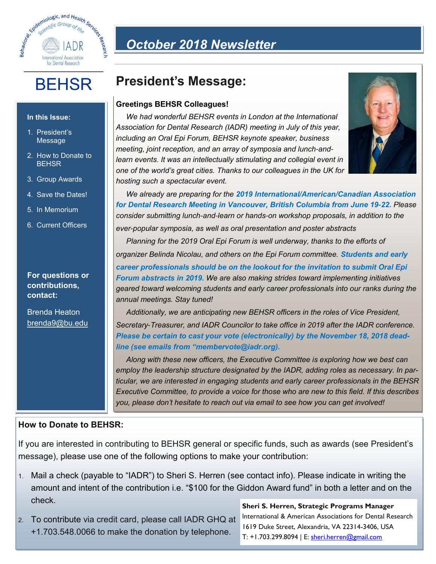

# **BEHSR**

#### **In this Issue:**

- 1. President's Message
- 2. How to Donate to **BEHSR**
- 3. Group Awards
- 4. Save the Dates!
- 5. In Memorium
- 6. Current Officers

#### **For questions or contributions, contact:**

Brenda Heaton brenda9@bu.edu

# *October 2018 Newsletter*

## **President's Message:**

#### **Greetings BEHSR Colleagues!**

*We had wonderful BEHSR events in London at the International Association for Dental Research (IADR) meeting in July of this year, including an Oral Epi Forum, BEHSR keynote speaker, business meeting, joint reception, and an array of symposia and lunch-and*learn events. It was an intellectually stimulating and collegial event in *one of the world's great cities. Thanks to our colleagues in the UK for hosting such a spectacular event.* 



*We already are preparing for the 2019 International/American/Canadian Association for Dental Research Meeting in Vancouver, British Columbia from June 19-22. Please consider submitting lunch-and-learn or hands-on workshop proposals, in addition to the ever-popular symposia, as well as oral presentation and poster abstracts*

*Planning for the 2019 Oral Epi Forum is well underway, thanks to the efforts of organizer Belinda Nicolau, and others on the Epi Forum committee. Students and early career professionals should be on the lookout for the invitation to submit Oral Epi Forum abstracts in 2019. We are also making strides toward implementing initiatives geared toward welcoming students and early career professionals into our ranks during the annual meetings. Stay tuned!* 

*Additionally, we are anticipating new BEHSR officers in the roles of Vice President, Secretary-Treasurer, and IADR Councilor to take office in 2019 after the IADR conference. Please be certain to cast your vote (electronically) by the November 18, 2018 deadline (see emails from "membervote@iadr.org).* 

*Along with these new officers, the Executive Committee is exploring how we best can employ the leadership structure designated by the IADR, adding roles as necessary. In particular, we are interested in engaging students and early career professionals in the BEHSR Executive Committee, to provide a voice for those who are new to this field. If this describes you, please don't hesitate to reach out via email to see how you can get involved!* 

### **How to Donate to BEHSR:**

If you are interested in contributing to BEHSR general or specific funds, such as awards (see President's message), please use one of the following options to make your contribution:

- 1. Mail a check (payable to "IADR") to Sheri S. Herren (see contact info). Please indicate in writing the amount and intent of the contribution i.e. "\$100 for the Giddon Award fund" in both a letter and on the check.
- 2. To contribute via credit card, please call IADR GHQ at +1.703.548.0066 to make the donation by telephone.

**Sheri S. Herren, Strategic Programs Manager**  International & American Associations for Dental Research 1619 Duke Street, Alexandria, VA 22314-3406, USA T: +1.703.299.8094 | E: [sheri.herren@gmail.com](mailto:sheri.herren@gmail.com)